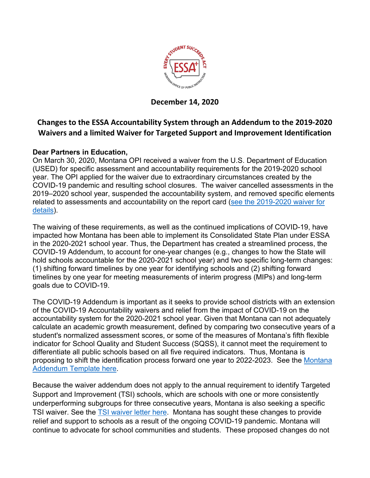

**December 14, 2020**

## **Changes to the ESSA Accountability System through an Addendum to the 2019-2020 Waivers and a limited Waiver for Targeted Support and Improvement Identification**

## **Dear Partners in Education,**

On March 30, 2020, Montana OPI received a waiver from the U.S. Department of Education (USED) for specific assessment and accountability requirements for the 2019-2020 school year. The OPI applied for the waiver due to extraordinary circumstances created by the COVID-19 pandemic and resulting school closures. The waiver cancelled assessments in the 2019–2020 school year, suspended the accountability system, and removed specific elements related to assessments and accountability on the report card [\(see the 2019-2020 waiver for](https://docs.google.com/document/d/1tlncKK6tT7VkygLMR_hP2_U5KAqy-ujkRY7eb5R-96w/edit?usp=sharing)  [details\)](https://docs.google.com/document/d/1tlncKK6tT7VkygLMR_hP2_U5KAqy-ujkRY7eb5R-96w/edit?usp=sharing).

The waiving of these requirements, as well as the continued implications of COVID-19, have impacted how Montana has been able to implement its Consolidated State Plan under ESSA in the 2020-2021 school year. Thus, the Department has created a streamlined process, the COVID-19 Addendum, to account for one-year changes (e.g., changes to how the State will hold schools accountable for the 2020-2021 school year) and two specific long-term changes: (1) shifting forward timelines by one year for identifying schools and (2) shifting forward timelines by one year for meeting measurements of interim progress (MIPs) and long-term goals due to COVID-19.

The COVID-19 Addendum is important as it seeks to provide school districts with an extension of the COVID-19 Accountability waivers and relief from the impact of COVID-19 on the accountability system for the 2020-2021 school year. Given that Montana can not adequately calculate an academic growth measurement, defined by comparing two consecutive years of a student's normalized assessment scores, or some of the measures of Montana's fifth flexible indicator for School Quality and Student Success (SQSS), it cannot meet the requirement to differentiate all public schools based on all five required indicators. Thus, Montana is proposing to shift the identification process forward one year to 2022-2023. See the [Montana](https://drive.google.com/file/d/1eJjn2G4zczt23LcBDNeVR6BzVszWIdDX/view?usp=sharing)  [Addendum Template here.](https://drive.google.com/file/d/1eJjn2G4zczt23LcBDNeVR6BzVszWIdDX/view?usp=sharing)

Because the waiver addendum does not apply to the annual requirement to identify Targeted Support and Improvement (TSI) schools, which are schools with one or more consistently underperforming subgroups for three consecutive years, Montana is also seeking a specific TSI waiver. See the [TSI waiver letter here.](https://drive.google.com/file/d/1UGougvNyXp6nKDJqfPopqx2XPHj2kEWN/view?usp=sharing) Montana has sought these changes to provide relief and support to schools as a result of the ongoing COVID-19 pandemic. Montana will continue to advocate for school communities and students. These proposed changes do not